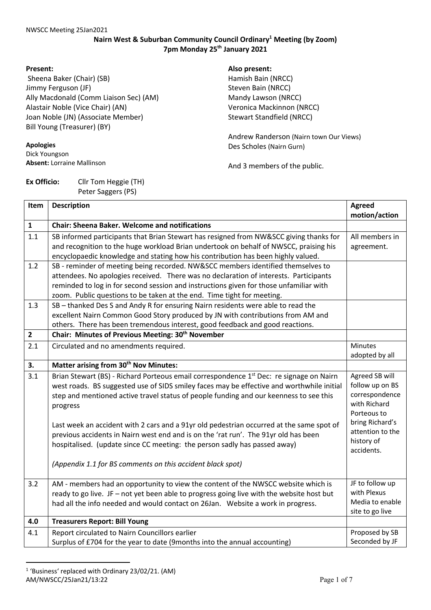## **Nairn West & Suburban Community Council Ordinary1 Meeting (by Zoom) 7pm Monday 25th January 2021**

#### **Present:**

Sheena Baker (Chair) (SB) Jimmy Ferguson (JF) Ally Macdonald (Comm Liaison Sec) (AM) Alastair Noble (Vice Chair) (AN) Joan Noble (JN) (Associate Member) Bill Young (Treasurer) (BY)

#### **Apologies**

Dick Youngson **Absent:** Lorraine Mallinson

# **Ex Officio:** Cllr Tom Heggie (TH) Peter Saggers (PS)

**Also present:**  Hamish Bain (NRCC) Steven Bain (NRCC) Mandy Lawson (NRCC) Veronica Mackinnon (NRCC) Stewart Standfield (NRCC)

Andrew Randerson (Nairn town Our Views) Des Scholes (Nairn Gurn)

And 3 members of the public.

| Item           | <b>Description</b>                                                                                                                                                                                                                                                                                                                            | <b>Agreed</b><br>motion/action                                                     |
|----------------|-----------------------------------------------------------------------------------------------------------------------------------------------------------------------------------------------------------------------------------------------------------------------------------------------------------------------------------------------|------------------------------------------------------------------------------------|
| $\mathbf{1}$   | <b>Chair: Sheena Baker. Welcome and notifications</b>                                                                                                                                                                                                                                                                                         |                                                                                    |
| 1.1            | SB informed participants that Brian Stewart has resigned from NW&SCC giving thanks for<br>and recognition to the huge workload Brian undertook on behalf of NWSCC, praising his<br>encyclopaedic knowledge and stating how his contribution has been highly valued.                                                                           | All members in<br>agreement.                                                       |
| 1.2            | SB - reminder of meeting being recorded. NW&SCC members identified themselves to<br>attendees. No apologies received. There was no declaration of interests. Participants<br>reminded to log in for second session and instructions given for those unfamiliar with<br>zoom. Public questions to be taken at the end. Time tight for meeting. |                                                                                    |
| 1.3            | SB - thanked Des S and Andy R for ensuring Nairn residents were able to read the<br>excellent Nairn Common Good Story produced by JN with contributions from AM and<br>others. There has been tremendous interest, good feedback and good reactions.                                                                                          |                                                                                    |
| $\overline{2}$ | Chair: Minutes of Previous Meeting: 30 <sup>th</sup> November                                                                                                                                                                                                                                                                                 |                                                                                    |
| 2.1            | Circulated and no amendments required.                                                                                                                                                                                                                                                                                                        | Minutes<br>adopted by all                                                          |
| 3.             | Matter arising from 30 <sup>th</sup> Nov Minutes:                                                                                                                                                                                                                                                                                             |                                                                                    |
| 3.1            | Brian Stewart (BS) - Richard Porteous email correspondence 1 <sup>st</sup> Dec: re signage on Nairn<br>west roads. BS suggested use of SIDS smiley faces may be effective and worthwhile initial<br>step and mentioned active travel status of people funding and our keenness to see this<br>progress                                        | Agreed SB will<br>follow up on BS<br>correspondence<br>with Richard<br>Porteous to |
|                | Last week an accident with 2 cars and a 91yr old pedestrian occurred at the same spot of<br>previous accidents in Nairn west end and is on the 'rat run'. The 91yr old has been<br>hospitalised. (update since CC meeting: the person sadly has passed away)<br>(Appendix 1.1 for BS comments on this accident black spot)                    | bring Richard's<br>attention to the<br>history of<br>accidents.                    |
| 3.2            | AM - members had an opportunity to view the content of the NWSCC website which is                                                                                                                                                                                                                                                             | JF to follow up                                                                    |
|                | ready to go live. JF - not yet been able to progress going live with the website host but<br>had all the info needed and would contact on 26Jan. Website a work in progress.                                                                                                                                                                  | with Plexus<br>Media to enable<br>site to go live                                  |
| 4.0            | <b>Treasurers Report: Bill Young</b>                                                                                                                                                                                                                                                                                                          |                                                                                    |
| 4.1            | Report circulated to Nairn Councillors earlier<br>Surplus of £704 for the year to date (9months into the annual accounting)                                                                                                                                                                                                                   | Proposed by SB<br>Seconded by JF                                                   |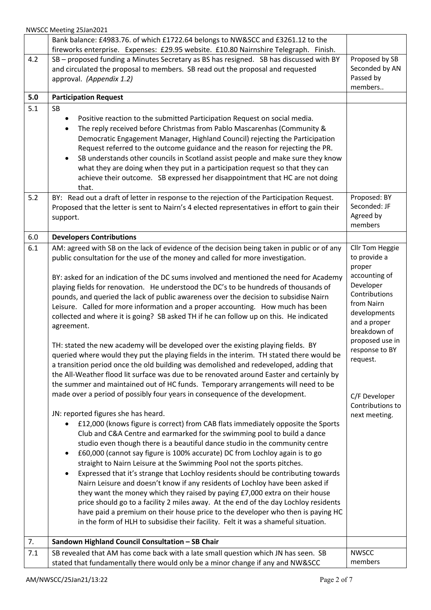NWSCC Meeting 25Jan2021

|     | Bank balance: £4983.76. of which £1722.64 belongs to NW&SCC and £3261.12 to the                                                                                                                                                                                                                                                                                                                                                                                                                                                                                                                                                                                                                                                                                                                                                                                                                                                                                                                                                                                                                                                                                                                                                                                                                                                                                                                                                                                                                                                                                                                                                                                                                                                                                                                                                                                                                                                                                                                                                                                                                                                                                                              |                                                                                                                                                                                                                                                               |
|-----|----------------------------------------------------------------------------------------------------------------------------------------------------------------------------------------------------------------------------------------------------------------------------------------------------------------------------------------------------------------------------------------------------------------------------------------------------------------------------------------------------------------------------------------------------------------------------------------------------------------------------------------------------------------------------------------------------------------------------------------------------------------------------------------------------------------------------------------------------------------------------------------------------------------------------------------------------------------------------------------------------------------------------------------------------------------------------------------------------------------------------------------------------------------------------------------------------------------------------------------------------------------------------------------------------------------------------------------------------------------------------------------------------------------------------------------------------------------------------------------------------------------------------------------------------------------------------------------------------------------------------------------------------------------------------------------------------------------------------------------------------------------------------------------------------------------------------------------------------------------------------------------------------------------------------------------------------------------------------------------------------------------------------------------------------------------------------------------------------------------------------------------------------------------------------------------------|---------------------------------------------------------------------------------------------------------------------------------------------------------------------------------------------------------------------------------------------------------------|
| 4.2 | fireworks enterprise. Expenses: £29.95 website. £10.80 Nairnshire Telegraph. Finish.<br>SB - proposed funding a Minutes Secretary as BS has resigned. SB has discussed with BY<br>and circulated the proposal to members. SB read out the proposal and requested<br>approval. (Appendix 1.2)                                                                                                                                                                                                                                                                                                                                                                                                                                                                                                                                                                                                                                                                                                                                                                                                                                                                                                                                                                                                                                                                                                                                                                                                                                                                                                                                                                                                                                                                                                                                                                                                                                                                                                                                                                                                                                                                                                 | Proposed by SB<br>Seconded by AN<br>Passed by<br>members                                                                                                                                                                                                      |
| 5.0 | <b>Participation Request</b>                                                                                                                                                                                                                                                                                                                                                                                                                                                                                                                                                                                                                                                                                                                                                                                                                                                                                                                                                                                                                                                                                                                                                                                                                                                                                                                                                                                                                                                                                                                                                                                                                                                                                                                                                                                                                                                                                                                                                                                                                                                                                                                                                                 |                                                                                                                                                                                                                                                               |
| 5.1 | <b>SB</b><br>Positive reaction to the submitted Participation Request on social media.<br>The reply received before Christmas from Pablo Mascarenhas (Community &<br>$\bullet$<br>Democratic Engagement Manager, Highland Council) rejecting the Participation<br>Request referred to the outcome guidance and the reason for rejecting the PR.<br>SB understands other councils in Scotland assist people and make sure they know<br>$\bullet$<br>what they are doing when they put in a participation request so that they can<br>achieve their outcome. SB expressed her disappointment that HC are not doing                                                                                                                                                                                                                                                                                                                                                                                                                                                                                                                                                                                                                                                                                                                                                                                                                                                                                                                                                                                                                                                                                                                                                                                                                                                                                                                                                                                                                                                                                                                                                                             |                                                                                                                                                                                                                                                               |
|     | that.                                                                                                                                                                                                                                                                                                                                                                                                                                                                                                                                                                                                                                                                                                                                                                                                                                                                                                                                                                                                                                                                                                                                                                                                                                                                                                                                                                                                                                                                                                                                                                                                                                                                                                                                                                                                                                                                                                                                                                                                                                                                                                                                                                                        |                                                                                                                                                                                                                                                               |
| 5.2 | BY: Read out a draft of letter in response to the rejection of the Participation Request.<br>Proposed that the letter is sent to Nairn's 4 elected representatives in effort to gain their<br>support.                                                                                                                                                                                                                                                                                                                                                                                                                                                                                                                                                                                                                                                                                                                                                                                                                                                                                                                                                                                                                                                                                                                                                                                                                                                                                                                                                                                                                                                                                                                                                                                                                                                                                                                                                                                                                                                                                                                                                                                       | Proposed: BY<br>Seconded: JF<br>Agreed by<br>members                                                                                                                                                                                                          |
| 6.0 | <b>Developers Contributions</b>                                                                                                                                                                                                                                                                                                                                                                                                                                                                                                                                                                                                                                                                                                                                                                                                                                                                                                                                                                                                                                                                                                                                                                                                                                                                                                                                                                                                                                                                                                                                                                                                                                                                                                                                                                                                                                                                                                                                                                                                                                                                                                                                                              |                                                                                                                                                                                                                                                               |
| 6.1 | AM: agreed with SB on the lack of evidence of the decision being taken in public or of any<br>public consultation for the use of the money and called for more investigation.<br>BY: asked for an indication of the DC sums involved and mentioned the need for Academy<br>playing fields for renovation. He understood the DC's to be hundreds of thousands of<br>pounds, and queried the lack of public awareness over the decision to subsidise Nairn<br>Leisure. Called for more information and a proper accounting. How much has been<br>collected and where it is going? SB asked TH if he can follow up on this. He indicated<br>agreement.<br>TH: stated the new academy will be developed over the existing playing fields. BY<br>queried where would they put the playing fields in the interim. TH stated there would be<br>a transition period once the old building was demolished and redeveloped, adding that<br>the All-Weather flood lit surface was due to be renovated around Easter and certainly by<br>the summer and maintained out of HC funds. Temporary arrangements will need to be<br>made over a period of possibly four years in consequence of the development.<br>JN: reported figures she has heard.<br>£12,000 (knows figure is correct) from CAB flats immediately opposite the Sports<br>Club and C&A Centre and earmarked for the swimming pool to build a dance<br>studio even though there is a beautiful dance studio in the community centre<br>£60,000 (cannot say figure is 100% accurate) DC from Lochloy again is to go<br>$\bullet$<br>straight to Nairn Leisure at the Swimming Pool not the sports pitches.<br>Expressed that it's strange that Lochloy residents should be contributing towards<br>$\bullet$<br>Nairn Leisure and doesn't know if any residents of Lochloy have been asked if<br>they want the money which they raised by paying £7,000 extra on their house<br>price should go to a facility 2 miles away. At the end of the day Lochloy residents<br>have paid a premium on their house price to the developer who then is paying HC<br>in the form of HLH to subsidise their facility. Felt it was a shameful situation. | Cllr Tom Heggie<br>to provide a<br>proper<br>accounting of<br>Developer<br>Contributions<br>from Nairn<br>developments<br>and a proper<br>breakdown of<br>proposed use in<br>response to BY<br>request.<br>C/F Developer<br>Contributions to<br>next meeting. |
| 7.  | Sandown Highland Council Consultation - SB Chair                                                                                                                                                                                                                                                                                                                                                                                                                                                                                                                                                                                                                                                                                                                                                                                                                                                                                                                                                                                                                                                                                                                                                                                                                                                                                                                                                                                                                                                                                                                                                                                                                                                                                                                                                                                                                                                                                                                                                                                                                                                                                                                                             |                                                                                                                                                                                                                                                               |
| 7.1 | SB revealed that AM has come back with a late small question which JN has seen. SB<br>stated that fundamentally there would only be a minor change if any and NW&SCC                                                                                                                                                                                                                                                                                                                                                                                                                                                                                                                                                                                                                                                                                                                                                                                                                                                                                                                                                                                                                                                                                                                                                                                                                                                                                                                                                                                                                                                                                                                                                                                                                                                                                                                                                                                                                                                                                                                                                                                                                         | <b>NWSCC</b><br>members                                                                                                                                                                                                                                       |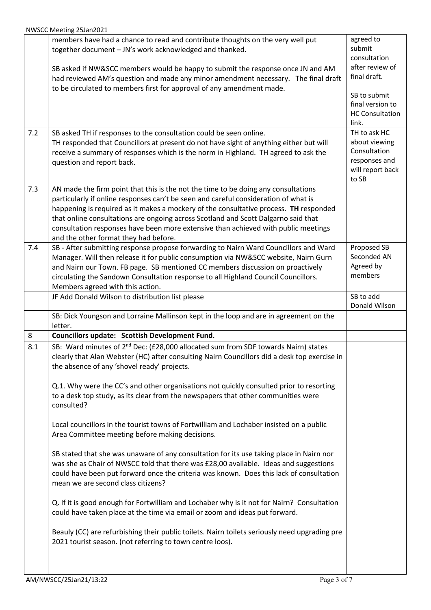| 7.2 | members have had a chance to read and contribute thoughts on the very well put<br>together document - JN's work acknowledged and thanked.<br>SB asked if NW&SCC members would be happy to submit the response once JN and AM<br>had reviewed AM's question and made any minor amendment necessary. The final draft<br>to be circulated to members first for approval of any amendment made.<br>SB asked TH if responses to the consultation could be seen online.                       | agreed to<br>submit<br>consultation<br>after review of<br>final draft.<br>SB to submit<br>final version to<br><b>HC Consultation</b><br>link.<br>TH to ask HC |
|-----|-----------------------------------------------------------------------------------------------------------------------------------------------------------------------------------------------------------------------------------------------------------------------------------------------------------------------------------------------------------------------------------------------------------------------------------------------------------------------------------------|---------------------------------------------------------------------------------------------------------------------------------------------------------------|
|     | TH responded that Councillors at present do not have sight of anything either but will<br>receive a summary of responses which is the norm in Highland. TH agreed to ask the<br>question and report back.                                                                                                                                                                                                                                                                               | about viewing<br>Consultation<br>responses and<br>will report back<br>to SB                                                                                   |
| 7.3 | AN made the firm point that this is the not the time to be doing any consultations<br>particularly if online responses can't be seen and careful consideration of what is<br>happening is required as it makes a mockery of the consultative process. TH responded<br>that online consultations are ongoing across Scotland and Scott Dalgarno said that<br>consultation responses have been more extensive than achieved with public meetings<br>and the other format they had before. |                                                                                                                                                               |
| 7.4 | SB - After submitting response propose forwarding to Nairn Ward Councillors and Ward<br>Manager. Will then release it for public consumption via NW&SCC website, Nairn Gurn<br>and Nairn our Town. FB page. SB mentioned CC members discussion on proactively<br>circulating the Sandown Consultation response to all Highland Council Councillors.<br>Members agreed with this action.                                                                                                 | Proposed SB<br>Seconded AN<br>Agreed by<br>members                                                                                                            |
|     | JF Add Donald Wilson to distribution list please                                                                                                                                                                                                                                                                                                                                                                                                                                        | SB to add<br>Donald Wilson                                                                                                                                    |
|     | SB: Dick Youngson and Lorraine Mallinson kept in the loop and are in agreement on the<br>letter.                                                                                                                                                                                                                                                                                                                                                                                        |                                                                                                                                                               |
| 8   | Councillors update: Scottish Development Fund.                                                                                                                                                                                                                                                                                                                                                                                                                                          |                                                                                                                                                               |
| 8.1 | SB: Ward minutes of 2 <sup>nd</sup> Dec: (£28,000 allocated sum from SDF towards Nairn) states<br>clearly that Alan Webster (HC) after consulting Nairn Councillors did a desk top exercise in<br>the absence of any 'shovel ready' projects.                                                                                                                                                                                                                                           |                                                                                                                                                               |
|     | Q.1. Why were the CC's and other organisations not quickly consulted prior to resorting<br>to a desk top study, as its clear from the newspapers that other communities were<br>consulted?                                                                                                                                                                                                                                                                                              |                                                                                                                                                               |
|     | Local councillors in the tourist towns of Fortwilliam and Lochaber insisted on a public<br>Area Committee meeting before making decisions.                                                                                                                                                                                                                                                                                                                                              |                                                                                                                                                               |
|     | SB stated that she was unaware of any consultation for its use taking place in Nairn nor<br>was she as Chair of NWSCC told that there was £28,00 available. Ideas and suggestions<br>could have been put forward once the criteria was known. Does this lack of consultation<br>mean we are second class citizens?                                                                                                                                                                      |                                                                                                                                                               |
|     | Q. If it is good enough for Fortwilliam and Lochaber why is it not for Nairn? Consultation<br>could have taken place at the time via email or zoom and ideas put forward.                                                                                                                                                                                                                                                                                                               |                                                                                                                                                               |
|     | Beauly (CC) are refurbishing their public toilets. Nairn toilets seriously need upgrading pre<br>2021 tourist season. (not referring to town centre loos).                                                                                                                                                                                                                                                                                                                              |                                                                                                                                                               |
|     |                                                                                                                                                                                                                                                                                                                                                                                                                                                                                         |                                                                                                                                                               |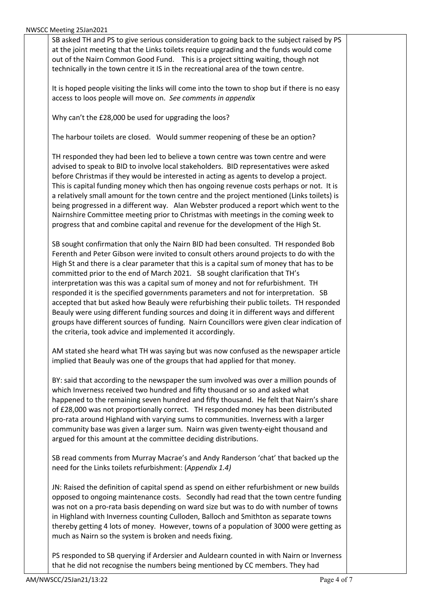| SB asked TH and PS to give serious consideration to going back to the subject raised by PS<br>at the joint meeting that the Links toilets require upgrading and the funds would come |  |
|--------------------------------------------------------------------------------------------------------------------------------------------------------------------------------------|--|
| out of the Nairn Common Good Fund. This is a project sitting waiting, though not                                                                                                     |  |
| technically in the town centre it IS in the recreational area of the town centre.                                                                                                    |  |
|                                                                                                                                                                                      |  |
| It is hoped people visiting the links will come into the town to shop but if there is no easy<br>access to loos people will move on. See comments in appendix                        |  |
|                                                                                                                                                                                      |  |
| Why can't the £28,000 be used for upgrading the loos?                                                                                                                                |  |
|                                                                                                                                                                                      |  |
| The harbour toilets are closed. Would summer reopening of these be an option?                                                                                                        |  |
| TH responded they had been led to believe a town centre was town centre and were                                                                                                     |  |
| advised to speak to BID to involve local stakeholders. BID representatives were asked                                                                                                |  |
| before Christmas if they would be interested in acting as agents to develop a project.                                                                                               |  |
| This is capital funding money which then has ongoing revenue costs perhaps or not. It is                                                                                             |  |
| a relatively small amount for the town centre and the project mentioned (Links toilets) is                                                                                           |  |
| being progressed in a different way. Alan Webster produced a report which went to the                                                                                                |  |
| Nairnshire Committee meeting prior to Christmas with meetings in the coming week to                                                                                                  |  |
| progress that and combine capital and revenue for the development of the High St.                                                                                                    |  |
| SB sought confirmation that only the Nairn BID had been consulted. TH responded Bob                                                                                                  |  |
| Ferenth and Peter Gibson were invited to consult others around projects to do with the                                                                                               |  |
| High St and there is a clear parameter that this is a capital sum of money that has to be                                                                                            |  |
| committed prior to the end of March 2021. SB sought clarification that TH's                                                                                                          |  |
| interpretation was this was a capital sum of money and not for refurbishment. TH                                                                                                     |  |
| responded it is the specified governments parameters and not for interpretation. SB                                                                                                  |  |
| accepted that but asked how Beauly were refurbishing their public toilets. TH responded                                                                                              |  |
| Beauly were using different funding sources and doing it in different ways and different                                                                                             |  |
| groups have different sources of funding. Nairn Councillors were given clear indication of<br>the criteria, took advice and implemented it accordingly.                              |  |
|                                                                                                                                                                                      |  |
| AM stated she heard what TH was saying but was now confused as the newspaper article                                                                                                 |  |
| implied that Beauly was one of the groups that had applied for that money.                                                                                                           |  |
| BY: said that according to the newspaper the sum involved was over a million pounds of                                                                                               |  |
| which Inverness received two hundred and fifty thousand or so and asked what                                                                                                         |  |
| happened to the remaining seven hundred and fifty thousand. He felt that Nairn's share                                                                                               |  |
| of £28,000 was not proportionally correct. TH responded money has been distributed                                                                                                   |  |
| pro-rata around Highland with varying sums to communities. Inverness with a larger                                                                                                   |  |
| community base was given a larger sum. Nairn was given twenty-eight thousand and                                                                                                     |  |
| argued for this amount at the committee deciding distributions.                                                                                                                      |  |
| SB read comments from Murray Macrae's and Andy Randerson 'chat' that backed up the                                                                                                   |  |
| need for the Links toilets refurbishment: (Appendix 1.4)                                                                                                                             |  |
|                                                                                                                                                                                      |  |
| JN: Raised the definition of capital spend as spend on either refurbishment or new builds                                                                                            |  |
| opposed to ongoing maintenance costs. Secondly had read that the town centre funding                                                                                                 |  |
| was not on a pro-rata basis depending on ward size but was to do with number of towns                                                                                                |  |
| in Highland with Inverness counting Culloden, Balloch and Smithton as separate towns                                                                                                 |  |
| thereby getting 4 lots of money. However, towns of a population of 3000 were getting as                                                                                              |  |
| much as Nairn so the system is broken and needs fixing.                                                                                                                              |  |
| PS responded to SB querying if Ardersier and Auldearn counted in with Nairn or Inverness                                                                                             |  |
| that he did not recognise the numbers being mentioned by CC members. They had                                                                                                        |  |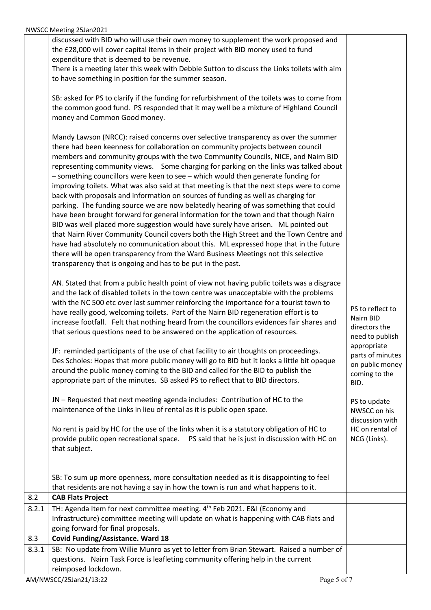|              | <b>TAULISTS SUBSIDING</b>                                                                               |                                 |
|--------------|---------------------------------------------------------------------------------------------------------|---------------------------------|
|              | discussed with BID who will use their own money to supplement the work proposed and                     |                                 |
|              | the £28,000 will cover capital items in their project with BID money used to fund                       |                                 |
|              | expenditure that is deemed to be revenue.                                                               |                                 |
|              | There is a meeting later this week with Debbie Sutton to discuss the Links toilets with aim             |                                 |
|              | to have something in position for the summer season.                                                    |                                 |
|              |                                                                                                         |                                 |
|              | SB: asked for PS to clarify if the funding for refurbishment of the toilets was to come from            |                                 |
|              | the common good fund. PS responded that it may well be a mixture of Highland Council                    |                                 |
|              | money and Common Good money.                                                                            |                                 |
|              | Mandy Lawson (NRCC): raised concerns over selective transparency as over the summer                     |                                 |
|              | there had been keenness for collaboration on community projects between council                         |                                 |
|              | members and community groups with the two Community Councils, NICE, and Nairn BID                       |                                 |
|              | representing community views. Some charging for parking on the links was talked about                   |                                 |
|              | - something councillors were keen to see - which would then generate funding for                        |                                 |
|              | improving toilets. What was also said at that meeting is that the next steps were to come               |                                 |
|              | back with proposals and information on sources of funding as well as charging for                       |                                 |
|              | parking. The funding source we are now belatedly hearing of was something that could                    |                                 |
|              | have been brought forward for general information for the town and that though Nairn                    |                                 |
|              | BID was well placed more suggestion would have surely have arisen. ML pointed out                       |                                 |
|              | that Nairn River Community Council covers both the High Street and the Town Centre and                  |                                 |
|              | have had absolutely no communication about this. ML expressed hope that in the future                   |                                 |
|              | there will be open transparency from the Ward Business Meetings not this selective                      |                                 |
|              | transparency that is ongoing and has to be put in the past.                                             |                                 |
|              | AN. Stated that from a public health point of view not having public toilets was a disgrace             |                                 |
|              | and the lack of disabled toilets in the town centre was unacceptable with the problems                  |                                 |
|              | with the NC 500 etc over last summer reinforcing the importance for a tourist town to                   |                                 |
|              | have really good, welcoming toilets. Part of the Nairn BID regeneration effort is to                    | PS to reflect to                |
|              | increase footfall. Felt that nothing heard from the councillors evidences fair shares and               | Nairn BID                       |
|              | that serious questions need to be answered on the application of resources.                             | directors the                   |
|              |                                                                                                         | need to publish                 |
|              | JF: reminded participants of the use of chat facility to air thoughts on proceedings.                   | appropriate<br>parts of minutes |
|              | Des Scholes: Hopes that more public money will go to BID but it looks a little bit opaque               | on public money                 |
|              | around the public money coming to the BID and called for the BID to publish the                         | coming to the                   |
|              | appropriate part of the minutes. SB asked PS to reflect that to BID directors.                          | BID.                            |
|              |                                                                                                         |                                 |
|              | JN - Requested that next meeting agenda includes: Contribution of HC to the                             | PS to update                    |
|              | maintenance of the Links in lieu of rental as it is public open space.                                  | NWSCC on his                    |
|              |                                                                                                         | discussion with                 |
|              | No rent is paid by HC for the use of the links when it is a statutory obligation of HC to               | HC on rental of                 |
|              | provide public open recreational space.  PS said that he is just in discussion with HC on               | NCG (Links).                    |
|              | that subject.                                                                                           |                                 |
|              |                                                                                                         |                                 |
|              | SB: To sum up more openness, more consultation needed as it is disappointing to feel                    |                                 |
|              | that residents are not having a say in how the town is run and what happens to it.                      |                                 |
| 8.2          | <b>CAB Flats Project</b>                                                                                |                                 |
| 8.2.1        | TH: Agenda Item for next committee meeting. 4 <sup>th</sup> Feb 2021. E&I (Economy and                  |                                 |
|              | Infrastructure) committee meeting will update on what is happening with CAB flats and                   |                                 |
|              | going forward for final proposals.                                                                      |                                 |
| 8.3<br>8.3.1 | <b>Covid Funding/Assistance. Ward 18</b>                                                                |                                 |
|              | SB: No update from Willie Munro as yet to letter from Brian Stewart. Raised a number of                 |                                 |
|              | questions. Nairn Task Force is leafleting community offering help in the current<br>reimposed lockdown. |                                 |
|              |                                                                                                         |                                 |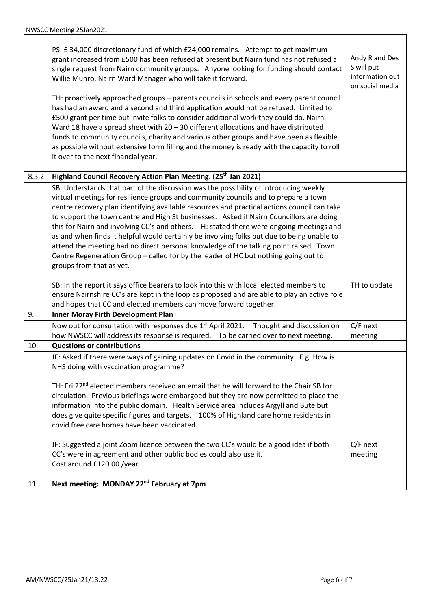|       | PS: £ 34,000 discretionary fund of which £24,000 remains. Attempt to get maximum<br>grant increased from £500 has been refused at present but Nairn fund has not refused a<br>single request from Nairn community groups. Anyone looking for funding should contact<br>Willie Munro, Nairn Ward Manager who will take it forward.<br>TH: proactively approached groups - parents councils in schools and every parent council<br>has had an award and a second and third application would not be refused. Limited to<br>£500 grant per time but invite folks to consider additional work they could do. Nairn<br>Ward 18 have a spread sheet with 20 - 30 different allocations and have distributed<br>funds to community councils, charity and various other groups and have been as flexible<br>as possible without extensive form filling and the money is ready with the capacity to roll | Andy R and Des<br>S will put<br>information out<br>on social media |
|-------|-------------------------------------------------------------------------------------------------------------------------------------------------------------------------------------------------------------------------------------------------------------------------------------------------------------------------------------------------------------------------------------------------------------------------------------------------------------------------------------------------------------------------------------------------------------------------------------------------------------------------------------------------------------------------------------------------------------------------------------------------------------------------------------------------------------------------------------------------------------------------------------------------|--------------------------------------------------------------------|
|       | it over to the next financial year.                                                                                                                                                                                                                                                                                                                                                                                                                                                                                                                                                                                                                                                                                                                                                                                                                                                             |                                                                    |
| 8.3.2 | Highland Council Recovery Action Plan Meeting. (25 <sup>th</sup> Jan 2021)                                                                                                                                                                                                                                                                                                                                                                                                                                                                                                                                                                                                                                                                                                                                                                                                                      |                                                                    |
|       | SB: Understands that part of the discussion was the possibility of introducing weekly<br>virtual meetings for resilience groups and community councils and to prepare a town<br>centre recovery plan identifying available resources and practical actions council can take<br>to support the town centre and High St businesses. Asked if Nairn Councillors are doing<br>this for Nairn and involving CC's and others. TH: stated there were ongoing meetings and<br>as and when finds it helpful would certainly be involving folks but due to being unable to<br>attend the meeting had no direct personal knowledge of the talking point raised. Town<br>Centre Regeneration Group - called for by the leader of HC but nothing going out to<br>groups from that as yet.                                                                                                                    |                                                                    |
|       | SB: In the report it says office bearers to look into this with local elected members to<br>ensure Nairnshire CC's are kept in the loop as proposed and are able to play an active role<br>and hopes that CC and elected members can move forward together.                                                                                                                                                                                                                                                                                                                                                                                                                                                                                                                                                                                                                                     | TH to update                                                       |
| 9.    | <b>Inner Moray Firth Development Plan</b>                                                                                                                                                                                                                                                                                                                                                                                                                                                                                                                                                                                                                                                                                                                                                                                                                                                       |                                                                    |
|       | Now out for consultation with responses due 1 <sup>st</sup> April 2021. Thought and discussion on<br>how NWSCC will address its response is required.  To be carried over to next meeting.                                                                                                                                                                                                                                                                                                                                                                                                                                                                                                                                                                                                                                                                                                      | C/F next<br>meeting                                                |
| 10.   | <b>Questions or contributions</b>                                                                                                                                                                                                                                                                                                                                                                                                                                                                                                                                                                                                                                                                                                                                                                                                                                                               |                                                                    |
|       | JF: Asked if there were ways of gaining updates on Covid in the community. E.g. How is<br>NHS doing with vaccination programme?<br>TH: Fri $22^{nd}$ elected members received an email that he will forward to the Chair SB for<br>circulation. Previous briefings were embargoed but they are now permitted to place the<br>information into the public domain. Health Service area includes Argyll and Bute but<br>does give quite specific figures and targets. 100% of Highland care home residents in<br>covid free care homes have been vaccinated.<br>JF: Suggested a joint Zoom licence between the two CC's would be a good idea if both<br>CC's were in agreement and other public bodies could also use it.<br>Cost around £120.00 /year                                                                                                                                             | $C/F$ next<br>meeting                                              |
| 11    | Next meeting: MONDAY 22 <sup>nd</sup> February at 7pm                                                                                                                                                                                                                                                                                                                                                                                                                                                                                                                                                                                                                                                                                                                                                                                                                                           |                                                                    |